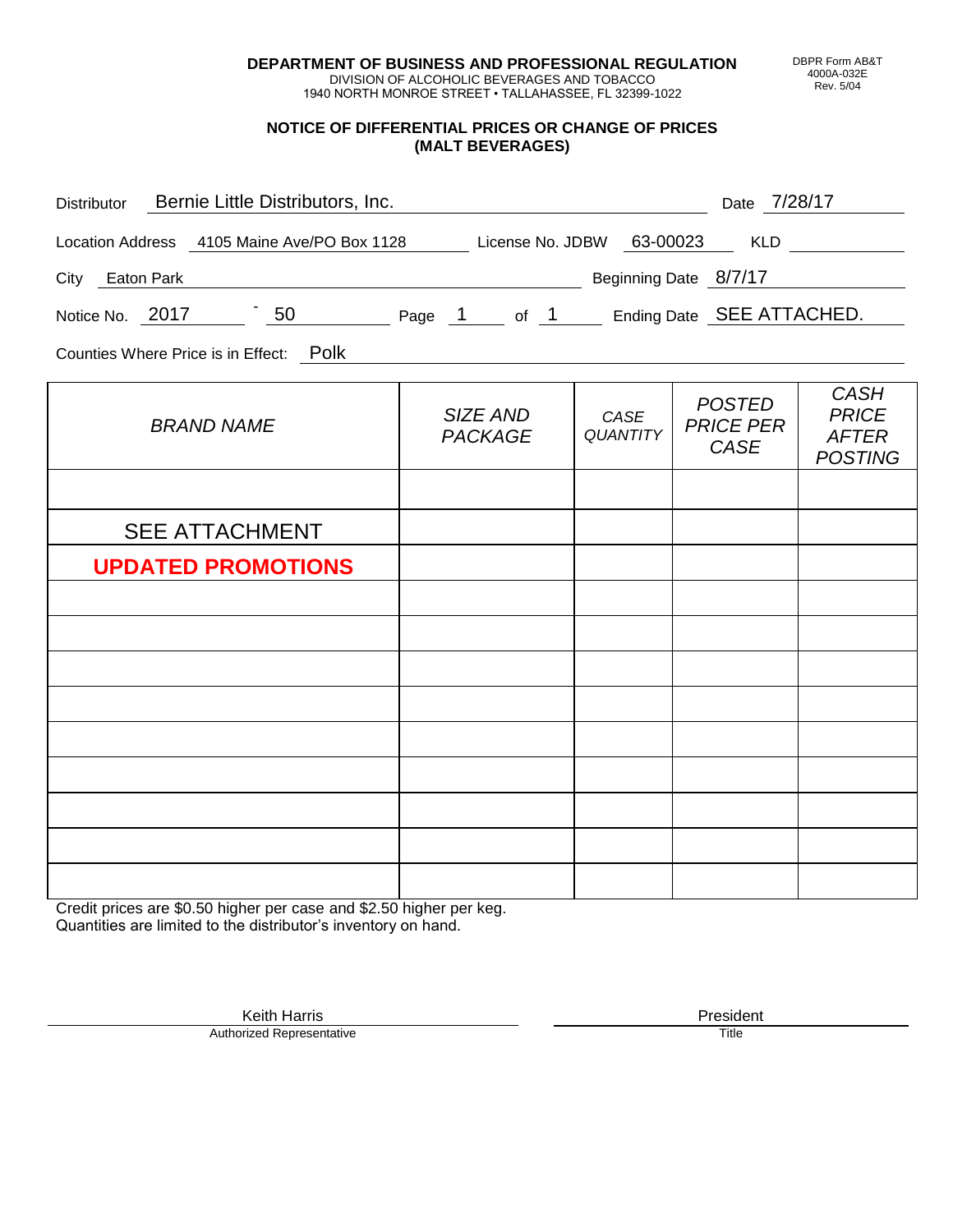**DEPARTMENT OF BUSINESS AND PROFESSIONAL REGULATION** DIVISION OF ALCOHOLIC BEVERAGES AND TOBACCO

1940 NORTH MONROE STREET • TALLAHASSEE, FL 32399-1022

**NOTICE OF DIFFERENTIAL PRICES OR CHANGE OF PRICES (MALT BEVERAGES)**

| Distributor Bernie Little Distributors, Inc.                              |                            |                         | Date 7/28/17                              |                                                               |  |  |  |  |  |  |
|---------------------------------------------------------------------------|----------------------------|-------------------------|-------------------------------------------|---------------------------------------------------------------|--|--|--|--|--|--|
| Location Address 4105 Maine Ave/PO Box 1128 License No. JDBW 63-00023 KLD |                            |                         |                                           |                                                               |  |  |  |  |  |  |
| City Eaton Park                                                           | Beginning Date 8/7/17      |                         |                                           |                                                               |  |  |  |  |  |  |
| Notice No. 2017 50 Page 1 of 1 Ending Date SEE ATTACHED.                  |                            |                         |                                           |                                                               |  |  |  |  |  |  |
| Counties Where Price is in Effect: Polk                                   |                            |                         |                                           |                                                               |  |  |  |  |  |  |
| <b>BRAND NAME</b>                                                         | SIZE AND<br><b>PACKAGE</b> | CASE<br><b>QUANTITY</b> | <b>POSTED</b><br><b>PRICE PER</b><br>CASE | <b>CASH</b><br><b>PRICE</b><br><b>AFTER</b><br><b>POSTING</b> |  |  |  |  |  |  |
|                                                                           |                            |                         |                                           |                                                               |  |  |  |  |  |  |
| <b>SEE ATTACHMENT</b>                                                     |                            |                         |                                           |                                                               |  |  |  |  |  |  |
| <b>UPDATED PROMOTIONS</b>                                                 |                            |                         |                                           |                                                               |  |  |  |  |  |  |
|                                                                           |                            |                         |                                           |                                                               |  |  |  |  |  |  |
|                                                                           |                            |                         |                                           |                                                               |  |  |  |  |  |  |
|                                                                           |                            |                         |                                           |                                                               |  |  |  |  |  |  |
|                                                                           |                            |                         |                                           |                                                               |  |  |  |  |  |  |
|                                                                           |                            |                         |                                           |                                                               |  |  |  |  |  |  |
|                                                                           |                            |                         |                                           |                                                               |  |  |  |  |  |  |

Credit prices are \$0.50 higher per case and \$2.50 higher per keg. Quantities are limited to the distributor's inventory on hand.

DBPR Form AB&T 4000A-032E Rev. 5/04

Keith Harris **President** President **President** President **President** President **President** Authorized Representative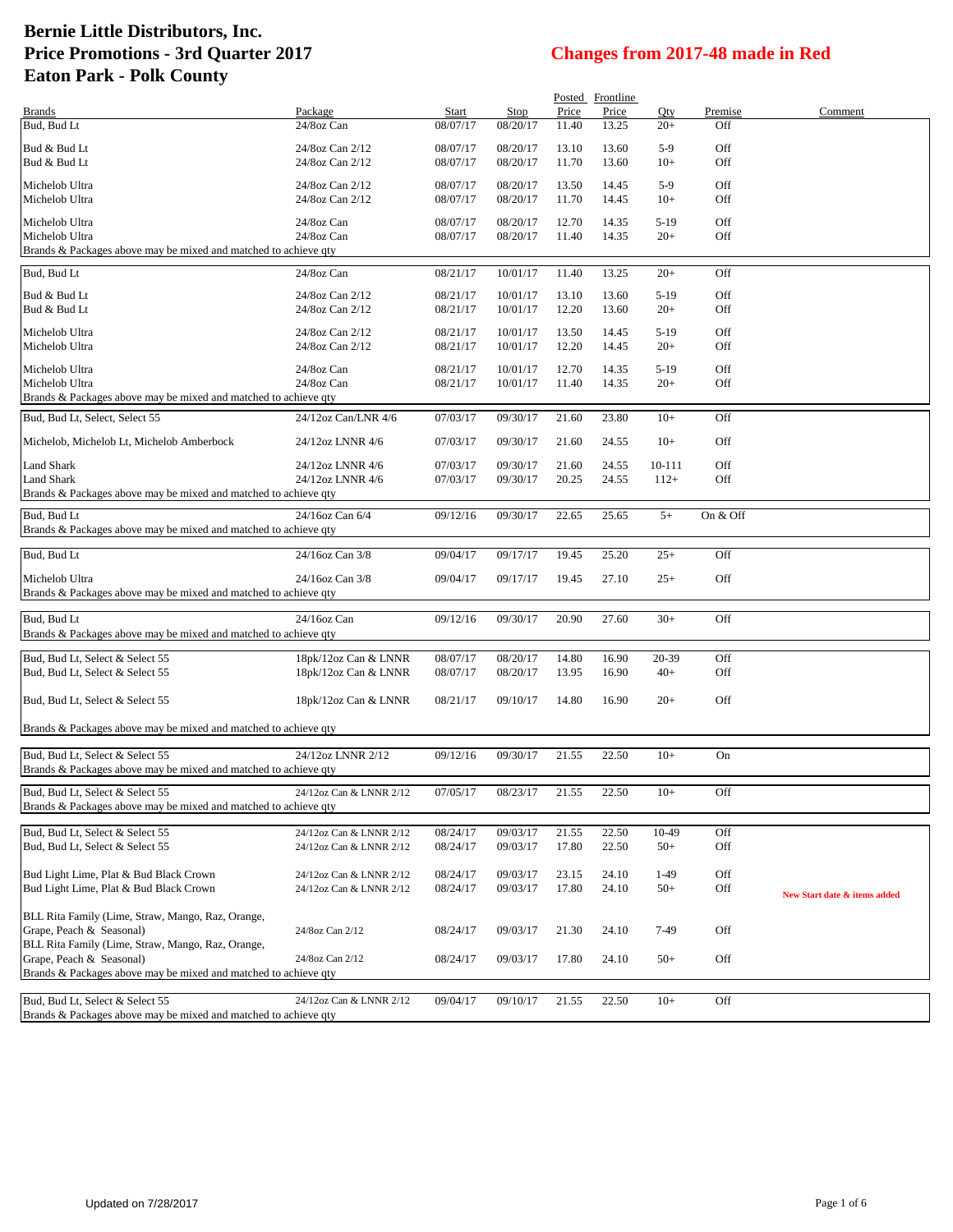|                                                                    |                         |                      |                      |                | Posted Frontline |        |            |                              |
|--------------------------------------------------------------------|-------------------------|----------------------|----------------------|----------------|------------------|--------|------------|------------------------------|
| <b>Brands</b>                                                      | Package                 | <b>Start</b>         | Stop                 | Price          | Price            | Oty    | Premise    | Comment                      |
| Bud, Bud Lt                                                        | 24/8oz Can              | 08/07/17             | 08/20/17             | 11.40          | 13.25            | $20+$  | Off        |                              |
| Bud & Bud Lt                                                       | 24/8oz Can 2/12         | 08/07/17             | 08/20/17             | 13.10          | 13.60            | $5-9$  | Off        |                              |
| Bud & Bud Lt                                                       | 24/8oz Can 2/12         | 08/07/17             | 08/20/17             | 11.70          | 13.60            | $10+$  | Off        |                              |
|                                                                    |                         |                      |                      |                |                  |        |            |                              |
| Michelob Ultra                                                     | 24/8oz Can 2/12         | 08/07/17             | 08/20/17             | 13.50          | 14.45            | $5-9$  | Off        |                              |
| Michelob Ultra                                                     | 24/8oz Can 2/12         | 08/07/17             | 08/20/17             | 11.70          | 14.45            | $10+$  | Off        |                              |
| Michelob Ultra                                                     | 24/8oz Can              | 08/07/17             | 08/20/17             | 12.70          | 14.35            | $5-19$ | Off        |                              |
| Michelob Ultra                                                     | 24/8oz Can              | 08/07/17             | 08/20/17             | 11.40          | 14.35            | $20+$  | Off        |                              |
| Brands & Packages above may be mixed and matched to achieve qty    |                         |                      |                      |                |                  |        |            |                              |
|                                                                    |                         |                      |                      |                |                  |        |            |                              |
| Bud, Bud Lt                                                        | 24/8oz Can              | 08/21/17             | 10/01/17             | 11.40          | 13.25            | $20+$  | Off        |                              |
| Bud & Bud Lt                                                       | 24/8oz Can 2/12         | 08/21/17             | 10/01/17             | 13.10          | 13.60            | $5-19$ | Off        |                              |
| Bud & Bud Lt                                                       | 24/8oz Can 2/12         | 08/21/17             | 10/01/17             | 12.20          | 13.60            | $20+$  | Off        |                              |
|                                                                    |                         |                      |                      |                |                  |        |            |                              |
| Michelob Ultra                                                     | 24/8oz Can 2/12         | 08/21/17             | 10/01/17             | 13.50          | 14.45            | $5-19$ | Off        |                              |
| Michelob Ultra                                                     | 24/8oz Can 2/12         | 08/21/17             | 10/01/17             | 12.20          | 14.45            | $20+$  | Off        |                              |
| Michelob Ultra                                                     | 24/8oz Can              | 08/21/17             | 10/01/17             | 12.70          | 14.35            | $5-19$ | Off        |                              |
| Michelob Ultra                                                     | 24/8oz Can              | 08/21/17             | 10/01/17             | 11.40          | 14.35            | $20+$  | Off        |                              |
| Brands & Packages above may be mixed and matched to achieve qty    |                         |                      |                      |                |                  |        |            |                              |
| Bud, Bud Lt, Select, Select 55                                     | 24/12oz Can/LNR 4/6     | 07/03/17             | 09/30/17             | 21.60          | 23.80            | $10+$  | Off        |                              |
|                                                                    |                         |                      |                      |                |                  |        |            |                              |
| Michelob, Michelob Lt, Michelob Amberbock                          | 24/12oz LNNR 4/6        | 07/03/17             | 09/30/17             | 21.60          | 24.55            | $10+$  | Off        |                              |
|                                                                    |                         |                      |                      |                |                  |        |            |                              |
| Land Shark                                                         | 24/12oz LNNR 4/6        | 07/03/17             | 09/30/17             | 21.60          | 24.55            | 10-111 | Off        |                              |
| <b>Land Shark</b>                                                  | 24/12oz LNNR 4/6        | 07/03/17             | 09/30/17             | 20.25          | 24.55            | $112+$ | Off        |                              |
| Brands & Packages above may be mixed and matched to achieve qty    |                         |                      |                      |                |                  |        |            |                              |
| Bud, Bud Lt                                                        | 24/16oz Can 6/4         | 09/12/16             | 09/30/17             | 22.65          | 25.65            | $5+$   | On & Off   |                              |
| Brands & Packages above may be mixed and matched to achieve qty    |                         |                      |                      |                |                  |        |            |                              |
|                                                                    |                         |                      |                      |                |                  |        |            |                              |
| Bud, Bud Lt                                                        | 24/16oz Can 3/8         | 09/04/17             | 09/17/17             | 19.45          | 25.20            | $25+$  | Off        |                              |
| Michelob Ultra                                                     | 24/16oz Can 3/8         | 09/04/17             | 09/17/17             | 19.45          | 27.10            | $25+$  | Off        |                              |
| Brands & Packages above may be mixed and matched to achieve qty    |                         |                      |                      |                |                  |        |            |                              |
|                                                                    |                         |                      |                      |                |                  |        |            |                              |
| Bud, Bud Lt                                                        | 24/16oz Can             | 09/12/16             | 09/30/17             | 20.90          | 27.60            | $30+$  | Off        |                              |
| Brands & Packages above may be mixed and matched to achieve qty    |                         |                      |                      |                |                  |        |            |                              |
|                                                                    |                         |                      |                      |                |                  | 20-39  |            |                              |
| Bud, Bud Lt, Select & Select 55<br>Bud, Bud Lt, Select & Select 55 | 18pk/12oz Can & LNNR    | 08/07/17<br>08/07/17 | 08/20/17<br>08/20/17 | 14.80<br>13.95 | 16.90<br>16.90   | $40+$  | Off<br>Off |                              |
|                                                                    | 18pk/12oz Can & LNNR    |                      |                      |                |                  |        |            |                              |
| Bud, Bud Lt, Select & Select 55                                    | 18pk/12oz Can & LNNR    | 08/21/17             | 09/10/17             | 14.80          | 16.90            | $20+$  | Off        |                              |
|                                                                    |                         |                      |                      |                |                  |        |            |                              |
| Brands & Packages above may be mixed and matched to achieve qty    |                         |                      |                      |                |                  |        |            |                              |
|                                                                    |                         |                      |                      |                |                  |        |            |                              |
| Bud, Bud Lt, Select & Select 55                                    | 24/12oz LNNR 2/12       | 09/12/16             | 09/30/17             | 21.55          | 22.50            | $10+$  | On         |                              |
| Brands & Packages above may be mixed and matched to achieve qty    |                         |                      |                      |                |                  |        |            |                              |
| Bud, Bud Lt, Select & Select 55                                    |                         |                      |                      |                |                  | $10+$  | Off        |                              |
|                                                                    | 24/12oz Can & LNNR 2/12 | 07/05/17             | 08/23/17             | 21.55          | 22.50            |        |            |                              |
| Brands & Packages above may be mixed and matched to achieve qty    |                         |                      |                      |                |                  |        |            |                              |
| Bud, Bud Lt, Select & Select 55                                    | 24/12oz Can & LNNR 2/12 | 08/24/17             | 09/03/17             | 21.55          | 22.50            | 10-49  | Off        |                              |
| Bud, Bud Lt, Select & Select 55                                    | 24/12oz Can & LNNR 2/12 | 08/24/17             | 09/03/17             | 17.80          | 22.50            | $50+$  | Off        |                              |
|                                                                    |                         |                      |                      |                |                  |        |            |                              |
| Bud Light Lime, Plat & Bud Black Crown                             | 24/12oz Can & LNNR 2/12 | 08/24/17             | 09/03/17             | 23.15          | 24.10            | $1-49$ | Off        |                              |
| Bud Light Lime, Plat & Bud Black Crown                             | 24/12oz Can & LNNR 2/12 | 08/24/17             | 09/03/17             | 17.80          | 24.10            | $50+$  | Off        | New Start date & items added |
|                                                                    |                         |                      |                      |                |                  |        |            |                              |
| BLL Rita Family (Lime, Straw, Mango, Raz, Orange,                  |                         |                      |                      |                |                  |        |            |                              |
| Grape, Peach & Seasonal)                                           | 24/8oz Can 2/12         | 08/24/17             | 09/03/17             | 21.30          | 24.10            | 7-49   | Off        |                              |
| BLL Rita Family (Lime, Straw, Mango, Raz, Orange,                  |                         |                      |                      |                |                  |        |            |                              |
| Grape, Peach & Seasonal)                                           | 24/8oz Can 2/12         | 08/24/17             | 09/03/17             | 17.80          | 24.10            | $50+$  | Off        |                              |
| Brands & Packages above may be mixed and matched to achieve qty    |                         |                      |                      |                |                  |        |            |                              |
|                                                                    |                         |                      |                      |                |                  |        |            |                              |
| Bud, Bud Lt, Select & Select 55                                    | 24/12oz Can & LNNR 2/12 | 09/04/17             | 09/10/17             | 21.55          | 22.50            | $10+$  | Off        |                              |
| Brands & Packages above may be mixed and matched to achieve qty    |                         |                      |                      |                |                  |        |            |                              |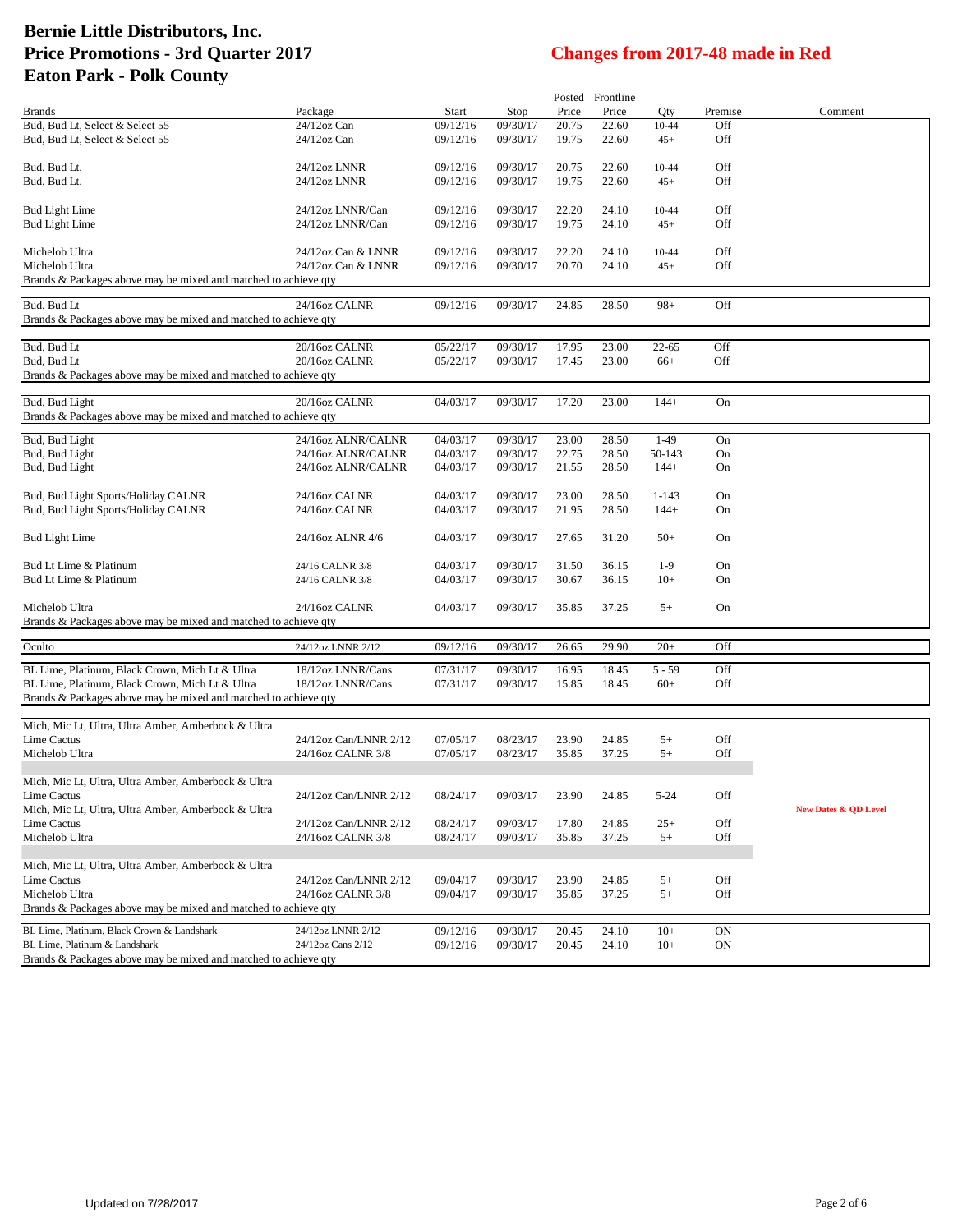|                                                                             |                                            |                      |          |                | Posted Frontline |                |            |                                 |
|-----------------------------------------------------------------------------|--------------------------------------------|----------------------|----------|----------------|------------------|----------------|------------|---------------------------------|
| <b>Brands</b>                                                               | Package                                    | Start                | Stop     | Price          | Price            | Qty            | Premise    | Comment                         |
| Bud, Bud Lt, Select & Select 55                                             | 24/12oz Can                                | 09/12/16             | 09/30/17 | 20.75          | 22.60            | 10-44          | Off        |                                 |
| Bud, Bud Lt, Select & Select 55                                             | $24/12$ oz Can                             | 09/12/16             | 09/30/17 | 19.75          | 22.60            | $45+$          | Off        |                                 |
|                                                                             |                                            |                      |          |                |                  |                |            |                                 |
| Bud, Bud Lt,                                                                | 24/12oz LNNR                               | 09/12/16             | 09/30/17 | 20.75          | 22.60            | 10-44          | Off        |                                 |
| Bud, Bud Lt,                                                                | 24/12oz LNNR                               | 09/12/16             | 09/30/17 | 19.75          | 22.60            | $45+$          | Off        |                                 |
| Bud Light Lime                                                              | 24/12oz LNNR/Can                           | 09/12/16             | 09/30/17 | 22.20          | 24.10            | $10 - 44$      | Off        |                                 |
| Bud Light Lime                                                              | 24/12oz LNNR/Can                           | 09/12/16             | 09/30/17 | 19.75          | 24.10            | $45+$          | Off        |                                 |
|                                                                             |                                            |                      |          |                |                  |                |            |                                 |
| Michelob Ultra                                                              | 24/12oz Can & LNNR                         | 09/12/16             | 09/30/17 | 22.20          | 24.10            | 10-44          | Off        |                                 |
| Michelob Ultra                                                              | 24/12oz Can & LNNR                         | 09/12/16             | 09/30/17 | 20.70          | 24.10            | $45+$          | Off        |                                 |
| Brands & Packages above may be mixed and matched to achieve qty             |                                            |                      |          |                |                  |                |            |                                 |
|                                                                             |                                            |                      |          |                |                  |                |            |                                 |
| Bud, Bud Lt                                                                 | 24/16oz CALNR                              | 09/12/16             | 09/30/17 | 24.85          | 28.50            | $98+$          | Off        |                                 |
| Brands & Packages above may be mixed and matched to achieve qty             |                                            |                      |          |                |                  |                |            |                                 |
| Bud, Bud Lt                                                                 | 20/16oz CALNR                              | 05/22/17             | 09/30/17 | 17.95          | 23.00            | $22 - 65$      | Off        |                                 |
| Bud, Bud Lt                                                                 | 20/16oz CALNR                              | 05/22/17             | 09/30/17 | 17.45          | 23.00            | $66+$          | Off        |                                 |
| Brands & Packages above may be mixed and matched to achieve qty             |                                            |                      |          |                |                  |                |            |                                 |
|                                                                             |                                            |                      |          |                |                  |                |            |                                 |
| Bud, Bud Light                                                              | 20/16oz CALNR                              | 04/03/17             | 09/30/17 | 17.20          | 23.00            | $144+$         | On         |                                 |
| Brands & Packages above may be mixed and matched to achieve qty             |                                            |                      |          |                |                  |                |            |                                 |
| Bud, Bud Light                                                              | 24/16oz ALNR/CALNR                         | 04/03/17             | 09/30/17 | 23.00          | 28.50            | $1-49$         | On         |                                 |
| Bud, Bud Light                                                              | 24/16oz ALNR/CALNR                         | 04/03/17             | 09/30/17 | 22.75          | 28.50            | 50-143         | On         |                                 |
| Bud, Bud Light                                                              | 24/16oz ALNR/CALNR                         | 04/03/17             | 09/30/17 | 21.55          | 28.50            | $144+$         | On         |                                 |
|                                                                             |                                            |                      |          |                |                  |                |            |                                 |
| Bud, Bud Light Sports/Holiday CALNR                                         | 24/16oz CALNR                              | 04/03/17             | 09/30/17 | 23.00          | 28.50            | $1 - 143$      | On         |                                 |
| Bud, Bud Light Sports/Holiday CALNR                                         | 24/16oz CALNR                              | 04/03/17             | 09/30/17 | 21.95          | 28.50            | $144+$         | On         |                                 |
|                                                                             |                                            |                      |          |                |                  |                |            |                                 |
| Bud Light Lime                                                              | 24/16oz ALNR 4/6                           | 04/03/17             | 09/30/17 | 27.65          | 31.20            | $50+$          | On         |                                 |
|                                                                             |                                            |                      |          |                |                  |                |            |                                 |
| Bud Lt Lime & Platinum                                                      | 24/16 CALNR 3/8                            | 04/03/17             | 09/30/17 | 31.50          | 36.15            | $1-9$          | On         |                                 |
| Bud Lt Lime & Platinum                                                      | 24/16 CALNR 3/8                            | 04/03/17             | 09/30/17 | 30.67          | 36.15            | $10+$          | On         |                                 |
| Michelob Ultra                                                              | 24/16oz CALNR                              | 04/03/17             | 09/30/17 | 35.85          | 37.25            | $5+$           | On         |                                 |
| Brands & Packages above may be mixed and matched to achieve qty             |                                            |                      |          |                |                  |                |            |                                 |
|                                                                             |                                            |                      |          |                |                  |                |            |                                 |
| Oculto                                                                      | 24/12oz LNNR 2/12                          | 09/12/16             | 09/30/17 | 26.65          | 29.90            | $20+$          | Off        |                                 |
| BL Lime, Platinum, Black Crown, Mich Lt & Ultra                             | 18/12oz LNNR/Cans                          | 07/31/17             | 09/30/17 | 16.95          | 18.45            | $5 - 59$       | Off        |                                 |
| BL Lime, Platinum, Black Crown, Mich Lt & Ultra                             | 18/12oz LNNR/Cans                          | 07/31/17             | 09/30/17 | 15.85          | 18.45            | $60+$          | Off        |                                 |
| Brands & Packages above may be mixed and matched to achieve qty             |                                            |                      |          |                |                  |                |            |                                 |
|                                                                             |                                            |                      |          |                |                  |                |            |                                 |
| Mich, Mic Lt, Ultra, Ultra Amber, Amberbock & Ultra                         |                                            |                      |          |                |                  |                |            |                                 |
| <b>Lime Cactus</b>                                                          | 24/12oz Can/LNNR 2/12                      | 07/05/17             | 08/23/17 | 23.90          | 24.85            | $5+$           | Off        |                                 |
| Michelob Ultra                                                              | 24/16oz CALNR 3/8                          | 07/05/17             | 08/23/17 | 35.85          | 37.25            | $5+$           | Off        |                                 |
|                                                                             |                                            |                      |          |                |                  |                |            |                                 |
| Mich, Mic Lt, Ultra, Ultra Amber, Amberbock & Ultra                         |                                            |                      |          |                |                  |                |            |                                 |
| Lime Cactus                                                                 | 24/12oz Can/LNNR 2/12                      | 08/24/17             | 09/03/17 | 23.90          | 24.85            | $5 - 24$       | Off        |                                 |
| Mich, Mic Lt, Ultra, Ultra Amber, Amberbock & Ultra                         |                                            |                      |          |                |                  |                |            | <b>New Dates &amp; QD Level</b> |
| <b>Lime Cactus</b><br>Michelob Ultra                                        | 24/12oz Can/LNNR 2/12<br>24/16oz CALNR 3/8 | 08/24/17<br>08/24/17 | 09/03/17 | 17.80<br>35.85 | 24.85            | $25+$<br>$5+$  | Off<br>Off |                                 |
|                                                                             |                                            |                      | 09/03/17 |                | 37.25            |                |            |                                 |
| Mich, Mic Lt, Ultra, Ultra Amber, Amberbock & Ultra                         |                                            |                      |          |                |                  |                |            |                                 |
| Lime Cactus                                                                 | 24/12oz Can/LNNR 2/12                      | 09/04/17             | 09/30/17 | 23.90          | 24.85            | $5+$           | Off        |                                 |
| Michelob Ultra                                                              | 24/16oz CALNR 3/8                          | 09/04/17             | 09/30/17 | 35.85          | 37.25            | $5+$           | Off        |                                 |
| Brands & Packages above may be mixed and matched to achieve qty             |                                            |                      |          |                |                  |                |            |                                 |
|                                                                             |                                            |                      |          |                |                  |                |            |                                 |
| BL Lime, Platinum, Black Crown & Landshark<br>BL Lime, Platinum & Landshark | 24/12oz LNNR 2/12<br>24/12oz Cans 2/12     | 09/12/16<br>09/12/16 | 09/30/17 | 20.45          | 24.10            | $10+$<br>$10+$ | <b>ON</b>  |                                 |
| Brands & Packages above may be mixed and matched to achieve qty             |                                            |                      | 09/30/17 | 20.45          | 24.10            |                | ON         |                                 |
|                                                                             |                                            |                      |          |                |                  |                |            |                                 |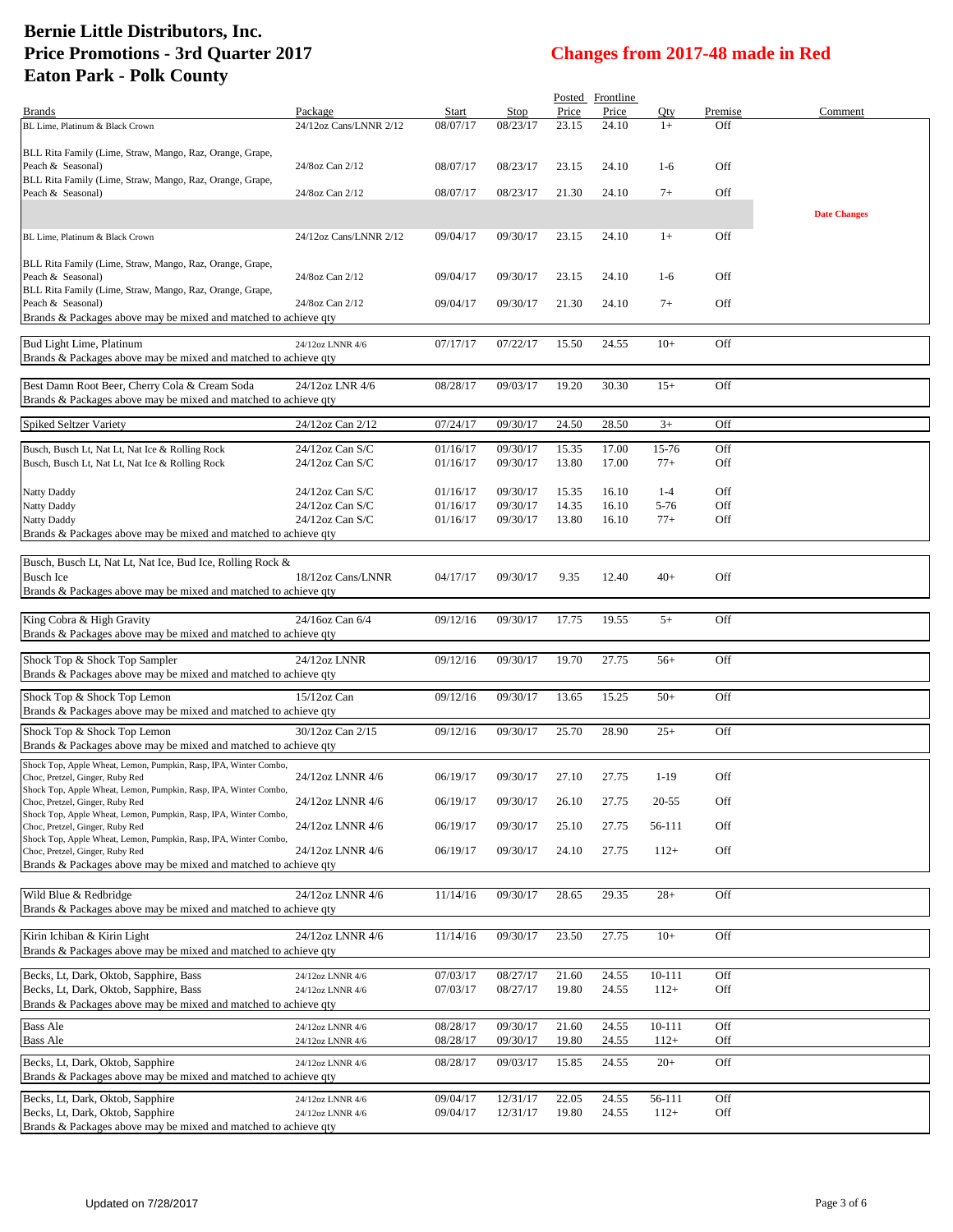|                                                                  |                        |          |          |       | Posted Frontline |        |         |                     |
|------------------------------------------------------------------|------------------------|----------|----------|-------|------------------|--------|---------|---------------------|
| <b>Brands</b>                                                    | Package                | Start    | Stop     | Price | Price            | Oty    | Premise | Comment             |
| BL Lime, Platinum & Black Crown                                  | 24/12oz Cans/LNNR 2/12 | 08/07/17 | 08/23/17 | 23.15 | 24.10            | $1+$   | Off     |                     |
|                                                                  |                        |          |          |       |                  |        |         |                     |
| BLL Rita Family (Lime, Straw, Mango, Raz, Orange, Grape,         |                        |          |          |       |                  |        |         |                     |
| Peach & Seasonal)                                                | 24/8oz Can 2/12        | 08/07/17 | 08/23/17 | 23.15 | 24.10            | $1-6$  | Off     |                     |
| BLL Rita Family (Lime, Straw, Mango, Raz, Orange, Grape,         |                        |          |          |       |                  |        |         |                     |
|                                                                  |                        |          |          |       |                  |        |         |                     |
| Peach & Seasonal)                                                | 24/8oz Can 2/12        | 08/07/17 | 08/23/17 | 21.30 | 24.10            | $7+$   | Off     |                     |
|                                                                  |                        |          |          |       |                  |        |         | <b>Date Changes</b> |
|                                                                  |                        |          |          |       |                  |        |         |                     |
| BL Lime, Platinum & Black Crown                                  | 24/12oz Cans/LNNR 2/12 | 09/04/17 | 09/30/17 | 23.15 | 24.10            | $1+$   | Off     |                     |
|                                                                  |                        |          |          |       |                  |        |         |                     |
| BLL Rita Family (Lime, Straw, Mango, Raz, Orange, Grape,         |                        |          |          |       |                  |        |         |                     |
| Peach & Seasonal)                                                | 24/8oz Can 2/12        | 09/04/17 | 09/30/17 | 23.15 | 24.10            | $1-6$  | Off     |                     |
|                                                                  |                        |          |          |       |                  |        |         |                     |
| BLL Rita Family (Lime, Straw, Mango, Raz, Orange, Grape,         |                        |          |          |       |                  |        |         |                     |
| Peach & Seasonal)                                                | 24/8oz Can 2/12        | 09/04/17 | 09/30/17 | 21.30 | 24.10            | $7+$   | Off     |                     |
| Brands & Packages above may be mixed and matched to achieve qty  |                        |          |          |       |                  |        |         |                     |
|                                                                  |                        |          |          |       |                  |        |         |                     |
| Bud Light Lime, Platinum                                         | 24/12oz LNNR 4/6       | 07/17/17 | 07/22/17 | 15.50 | 24.55            | $10+$  | Off     |                     |
| Brands & Packages above may be mixed and matched to achieve qty  |                        |          |          |       |                  |        |         |                     |
|                                                                  |                        |          |          |       |                  |        |         |                     |
| Best Damn Root Beer, Cherry Cola & Cream Soda                    | 24/12oz LNR 4/6        | 08/28/17 | 09/03/17 | 19.20 | 30.30            | $15+$  | Off     |                     |
| Brands & Packages above may be mixed and matched to achieve qty  |                        |          |          |       |                  |        |         |                     |
|                                                                  |                        |          |          |       |                  |        |         |                     |
| <b>Spiked Seltzer Variety</b>                                    | 24/12oz Can 2/12       | 07/24/17 | 09/30/17 | 24.50 | 28.50            | $3+$   | Off     |                     |
|                                                                  |                        |          |          |       |                  |        |         |                     |
| Busch, Busch Lt, Nat Lt, Nat Ice & Rolling Rock                  | 24/12oz Can S/C        | 01/16/17 | 09/30/17 | 15.35 | 17.00            | 15-76  | Off     |                     |
| Busch, Busch Lt, Nat Lt, Nat Ice & Rolling Rock                  | $24/12$ oz Can S/C     | 01/16/17 | 09/30/17 | 13.80 | 17.00            | $77+$  | Off     |                     |
|                                                                  |                        |          |          |       |                  |        |         |                     |
|                                                                  |                        |          |          |       |                  |        |         |                     |
| <b>Natty Daddy</b>                                               | 24/12oz Can S/C        | 01/16/17 | 09/30/17 | 15.35 | 16.10            | $1-4$  | Off     |                     |
| <b>Natty Daddy</b>                                               | 24/12oz Can S/C        | 01/16/17 | 09/30/17 | 14.35 | 16.10            | 5-76   | Off     |                     |
| Natty Daddy                                                      | 24/12oz Can S/C        | 01/16/17 | 09/30/17 | 13.80 | 16.10            | $77+$  | Off     |                     |
| Brands & Packages above may be mixed and matched to achieve qty  |                        |          |          |       |                  |        |         |                     |
|                                                                  |                        |          |          |       |                  |        |         |                     |
|                                                                  |                        |          |          |       |                  |        |         |                     |
| Busch, Busch Lt, Nat Lt, Nat Ice, Bud Ice, Rolling Rock &        |                        |          |          |       |                  |        |         |                     |
| <b>Busch Ice</b>                                                 | 18/12oz Cans/LNNR      | 04/17/17 | 09/30/17 | 9.35  | 12.40            | $40+$  | Off     |                     |
| Brands & Packages above may be mixed and matched to achieve qty  |                        |          |          |       |                  |        |         |                     |
|                                                                  |                        |          |          |       |                  |        |         |                     |
| King Cobra & High Gravity                                        | 24/16oz Can 6/4        | 09/12/16 | 09/30/17 | 17.75 | 19.55            | $5+$   | Off     |                     |
| Brands & Packages above may be mixed and matched to achieve qty  |                        |          |          |       |                  |        |         |                     |
|                                                                  |                        |          |          |       |                  |        |         |                     |
| Shock Top & Shock Top Sampler                                    | 24/12oz LNNR           | 09/12/16 | 09/30/17 | 19.70 | 27.75            | $56+$  | Off     |                     |
| Brands & Packages above may be mixed and matched to achieve qty  |                        |          |          |       |                  |        |         |                     |
|                                                                  |                        |          |          |       |                  |        |         |                     |
| Shock Top & Shock Top Lemon                                      | 15/12oz Can            | 09/12/16 | 09/30/17 | 13.65 | 15.25            | $50+$  | Off     |                     |
| Brands & Packages above may be mixed and matched to achieve qty  |                        |          |          |       |                  |        |         |                     |
|                                                                  |                        |          |          |       |                  |        |         |                     |
| Shock Top & Shock Top Lemon                                      | 30/12oz Can 2/15       | 09/12/16 | 09/30/17 | 25.70 | 28.90            | $25+$  | Off     |                     |
| Brands & Packages above may be mixed and matched to achieve qty  |                        |          |          |       |                  |        |         |                     |
|                                                                  |                        |          |          |       |                  |        |         |                     |
| Shock Top, Apple Wheat, Lemon, Pumpkin, Rasp, IPA, Winter Combo, |                        |          |          |       |                  |        |         |                     |
| Choc, Pretzel, Ginger, Ruby Red                                  | 24/12oz LNNR 4/6       | 06/19/17 | 09/30/17 | 27.10 | 27.75            | $1-19$ | Off     |                     |
| Shock Top, Apple Wheat, Lemon, Pumpkin, Rasp, IPA, Winter Combo, |                        |          |          |       |                  |        |         |                     |
| Choc, Pretzel, Ginger, Ruby Red                                  | 24/12oz LNNR 4/6       | 06/19/17 | 09/30/17 | 26.10 | 27.75            | 20-55  | Off     |                     |
| Shock Top, Apple Wheat, Lemon, Pumpkin, Rasp, IPA, Winter Combo, |                        |          |          |       |                  |        |         |                     |
| Choc, Pretzel, Ginger, Ruby Red                                  | 24/12oz LNNR 4/6       | 06/19/17 | 09/30/17 | 25.10 | 27.75            | 56-111 | Off     |                     |
| Shock Top, Apple Wheat, Lemon, Pumpkin, Rasp, IPA, Winter Combo, |                        |          |          |       |                  |        |         |                     |
| Choc, Pretzel, Ginger, Ruby Red                                  | 24/12oz LNNR 4/6       | 06/19/17 | 09/30/17 | 24.10 | 27.75            | $112+$ | Off     |                     |
| Brands & Packages above may be mixed and matched to achieve qty  |                        |          |          |       |                  |        |         |                     |
|                                                                  |                        |          |          |       |                  |        |         |                     |
| Wild Blue & Redbridge                                            | 24/12oz LNNR 4/6       | 11/14/16 | 09/30/17 | 28.65 | 29.35            | $28+$  | Off     |                     |
| Brands & Packages above may be mixed and matched to achieve qty  |                        |          |          |       |                  |        |         |                     |
|                                                                  |                        |          |          |       |                  |        |         |                     |
|                                                                  |                        |          |          |       |                  |        |         |                     |
| Kirin Ichiban & Kirin Light                                      | 24/12oz LNNR 4/6       | 11/14/16 | 09/30/17 | 23.50 | 27.75            | $10+$  | Off     |                     |
| Brands & Packages above may be mixed and matched to achieve qty  |                        |          |          |       |                  |        |         |                     |
|                                                                  |                        |          |          |       |                  |        |         |                     |
| Becks, Lt, Dark, Oktob, Sapphire, Bass                           | 24/12oz LNNR 4/6       | 07/03/17 | 08/27/17 | 21.60 | 24.55            | 10-111 | Off     |                     |
| Becks, Lt, Dark, Oktob, Sapphire, Bass                           | 24/12oz LNNR 4/6       | 07/03/17 | 08/27/17 | 19.80 | 24.55            | $112+$ | Off     |                     |
| Brands & Packages above may be mixed and matched to achieve qty  |                        |          |          |       |                  |        |         |                     |
|                                                                  |                        |          |          |       |                  |        |         |                     |
| <b>Bass Ale</b>                                                  | 24/12oz LNNR 4/6       | 08/28/17 | 09/30/17 | 21.60 | 24.55            | 10-111 | Off     |                     |
| <b>Bass Ale</b>                                                  | 24/12oz LNNR 4/6       | 08/28/17 | 09/30/17 | 19.80 | 24.55            | $112+$ | Off     |                     |
|                                                                  |                        |          |          |       |                  |        |         |                     |
| Becks, Lt, Dark, Oktob, Sapphire                                 | 24/12oz LNNR 4/6       | 08/28/17 | 09/03/17 | 15.85 | 24.55            | $20+$  | Off     |                     |
| Brands & Packages above may be mixed and matched to achieve qty  |                        |          |          |       |                  |        |         |                     |
|                                                                  |                        |          |          |       |                  |        |         |                     |
| Becks, Lt, Dark, Oktob, Sapphire                                 | 24/12oz LNNR 4/6       | 09/04/17 | 12/31/17 | 22.05 | 24.55            | 56-111 | Off     |                     |
| Becks, Lt, Dark, Oktob, Sapphire                                 | 24/12oz LNNR 4/6       | 09/04/17 | 12/31/17 | 19.80 | 24.55            | $112+$ | Off     |                     |
| Brands & Packages above may be mixed and matched to achieve qty  |                        |          |          |       |                  |        |         |                     |
|                                                                  |                        |          |          |       |                  |        |         |                     |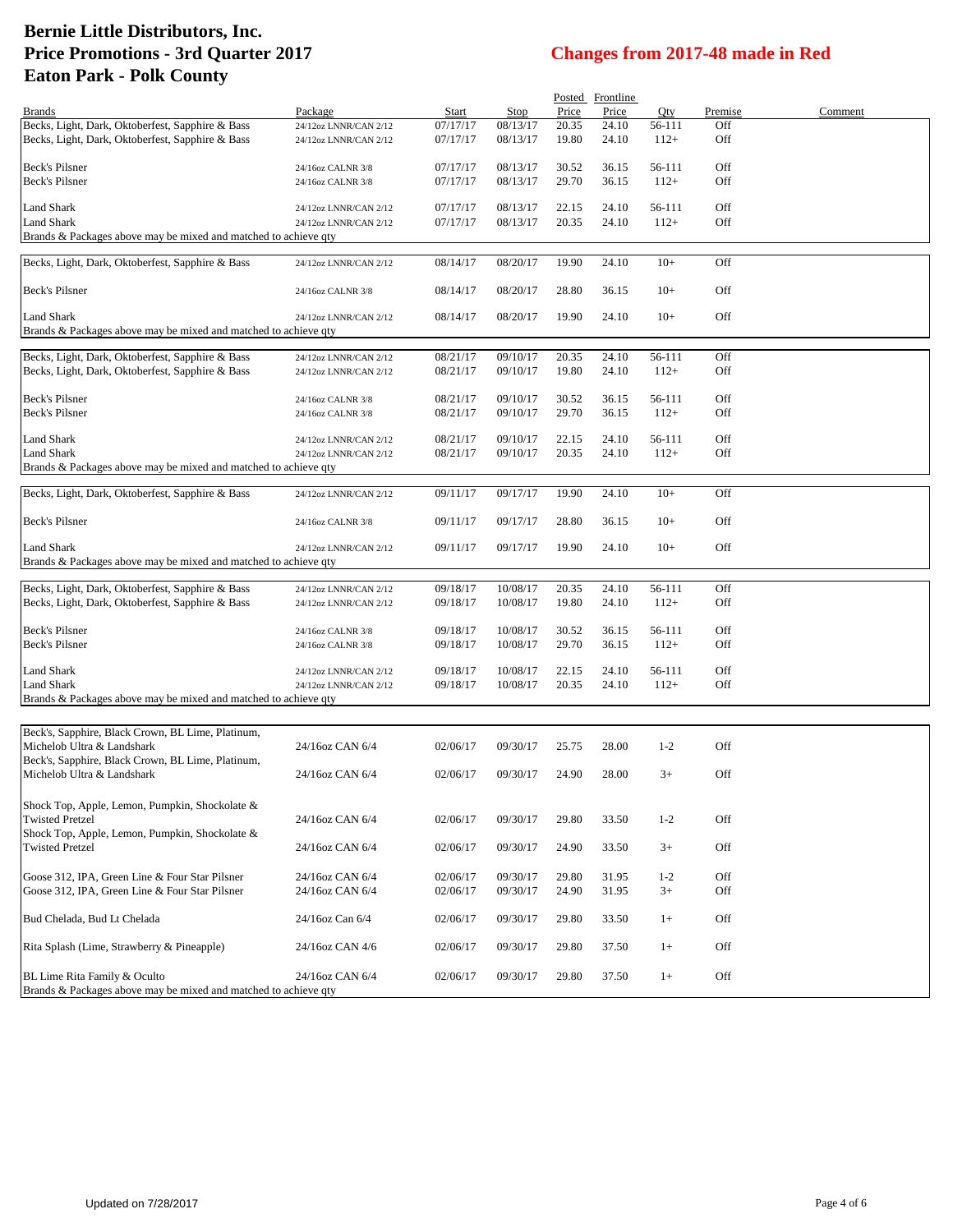|                                                                 |                                                |                      |                      |                | Posted Frontline |                  |            |         |
|-----------------------------------------------------------------|------------------------------------------------|----------------------|----------------------|----------------|------------------|------------------|------------|---------|
| <b>Brands</b>                                                   | Package                                        | Start                | Stop                 | Price          | Price            | Qty              | Premise    | Comment |
| Becks, Light, Dark, Oktoberfest, Sapphire & Bass                | 24/12oz LNNR/CAN 2/12                          | 07/17/17             | 08/13/17             | 20.35          | 24.10            | 56-111           | Off        |         |
| Becks, Light, Dark, Oktoberfest, Sapphire & Bass                | 24/12oz LNNR/CAN 2/12                          | 07/17/17             | 08/13/17             | 19.80          | 24.10            | $112+$           | Off        |         |
|                                                                 |                                                |                      |                      |                |                  |                  |            |         |
| Beck's Pilsner                                                  | 24/16oz CALNR 3/8                              | 07/17/17             | 08/13/17             | 30.52          | 36.15            | 56-111           | Off        |         |
| Beck's Pilsner                                                  | 24/16oz CALNR 3/8                              | 07/17/17             | 08/13/17             | 29.70          | 36.15            | $112+$           | Off        |         |
| <b>Land Shark</b>                                               | 24/12oz LNNR/CAN 2/12                          | 07/17/17             | 08/13/17             | 22.15          | 24.10            | 56-111           | Off        |         |
| <b>Land Shark</b>                                               | 24/12oz LNNR/CAN 2/12                          | 07/17/17             | 08/13/17             | 20.35          | 24.10            | $112+$           | Off        |         |
| Brands & Packages above may be mixed and matched to achieve qty |                                                |                      |                      |                |                  |                  |            |         |
|                                                                 |                                                |                      |                      |                |                  |                  |            |         |
| Becks, Light, Dark, Oktoberfest, Sapphire & Bass                | 24/12oz LNNR/CAN 2/12                          | 08/14/17             | 08/20/17             | 19.90          | 24.10            | $10+$            | Off        |         |
| Beck's Pilsner                                                  | 24/16oz CALNR 3/8                              | 08/14/17             | 08/20/17             | 28.80          | 36.15            | $10+$            | Off        |         |
|                                                                 |                                                |                      |                      |                |                  |                  |            |         |
| Land Shark                                                      | 24/12oz LNNR/CAN 2/12                          | 08/14/17             | 08/20/17             | 19.90          | 24.10            | $10+$            | Off        |         |
| Brands & Packages above may be mixed and matched to achieve qty |                                                |                      |                      |                |                  |                  |            |         |
| Becks, Light, Dark, Oktoberfest, Sapphire & Bass                | 24/12oz LNNR/CAN 2/12                          | 08/21/17             | 09/10/17             | 20.35          | 24.10            | 56-111           | Off        |         |
| Becks, Light, Dark, Oktoberfest, Sapphire & Bass                | 24/12oz LNNR/CAN 2/12                          | 08/21/17             | 09/10/17             | 19.80          | 24.10            | $112+$           | Off        |         |
|                                                                 |                                                |                      |                      |                |                  |                  |            |         |
| Beck's Pilsner                                                  | 24/16oz CALNR 3/8                              | 08/21/17             | 09/10/17             | 30.52          | 36.15            | 56-111           | Off        |         |
| Beck's Pilsner                                                  | 24/16oz CALNR 3/8                              | 08/21/17             | 09/10/17             | 29.70          | 36.15            | $112+$           | Off        |         |
|                                                                 |                                                |                      |                      |                |                  |                  |            |         |
| Land Shark                                                      | 24/12oz LNNR/CAN 2/12                          | 08/21/17             | 09/10/17             | 22.15          | 24.10            | 56-111           | Off        |         |
| Land Shark                                                      | 24/12oz LNNR/CAN 2/12                          | 08/21/17             | 09/10/17             | 20.35          | 24.10            | $112+$           | Off        |         |
| Brands & Packages above may be mixed and matched to achieve qty |                                                |                      |                      |                |                  |                  |            |         |
| Becks, Light, Dark, Oktoberfest, Sapphire & Bass                | 24/12oz LNNR/CAN 2/12                          | 09/11/17             | 09/17/17             | 19.90          | 24.10            | $10+$            | Off        |         |
|                                                                 |                                                |                      |                      |                |                  |                  |            |         |
| Beck's Pilsner                                                  | 24/16oz CALNR 3/8                              | 09/11/17             | 09/17/17             | 28.80          | 36.15            | $10+$            | Off        |         |
|                                                                 |                                                |                      |                      |                |                  |                  |            |         |
| Land Shark                                                      | 24/12oz LNNR/CAN 2/12                          | 09/11/17             | 09/17/17             | 19.90          | 24.10            | $10+$            | Off        |         |
| Brands & Packages above may be mixed and matched to achieve qty |                                                |                      |                      |                |                  |                  |            |         |
| Becks, Light, Dark, Oktoberfest, Sapphire & Bass                | 24/12oz LNNR/CAN 2/12                          | 09/18/17             | 10/08/17             | 20.35          | 24.10            | 56-111           | Off        |         |
| Becks, Light, Dark, Oktoberfest, Sapphire & Bass                | 24/12oz LNNR/CAN 2/12                          | 09/18/17             | 10/08/17             | 19.80          | 24.10            | $112+$           | Off        |         |
|                                                                 |                                                |                      |                      |                |                  |                  |            |         |
| Beck's Pilsner                                                  | 24/16oz CALNR 3/8                              | 09/18/17             | 10/08/17             | 30.52          | 36.15            | 56-111           | Off        |         |
| Beck's Pilsner                                                  | 24/16oz CALNR 3/8                              | 09/18/17             | 10/08/17             | 29.70          | 36.15            | $112+$           | Off        |         |
|                                                                 |                                                |                      |                      |                |                  |                  |            |         |
| Land Shark<br>Land Shark                                        | 24/12oz LNNR/CAN 2/12<br>24/12oz LNNR/CAN 2/12 | 09/18/17<br>09/18/17 | 10/08/17<br>10/08/17 | 22.15<br>20.35 | 24.10<br>24.10   | 56-111<br>$112+$ | Off<br>Off |         |
| Brands & Packages above may be mixed and matched to achieve qty |                                                |                      |                      |                |                  |                  |            |         |
|                                                                 |                                                |                      |                      |                |                  |                  |            |         |
| Beck's, Sapphire, Black Crown, BL Lime, Platinum,               |                                                |                      |                      |                |                  |                  |            |         |
| Michelob Ultra & Landshark                                      | 24/16oz CAN 6/4                                | 02/06/17             | 09/30/17             | 25.75          | 28.00            | $1 - 2$          | Off        |         |
| Beck's, Sapphire, Black Crown, BL Lime, Platinum,               |                                                |                      |                      |                |                  |                  |            |         |
| Michelob Ultra & Landshark                                      | 24/16oz CAN 6/4                                | 02/06/17             | 09/30/17             | 24.90          | 28.00            | $3+$             | Off        |         |
|                                                                 |                                                |                      |                      |                |                  |                  |            |         |
| Shock Top, Apple, Lemon, Pumpkin, Shockolate &                  |                                                |                      |                      |                |                  |                  |            |         |
| <b>Twisted Pretzel</b>                                          | 24/16oz CAN 6/4                                | 02/06/17             | 09/30/17             | 29.80          | 33.50            | $1 - 2$          | Off        |         |
| Shock Top, Apple, Lemon, Pumpkin, Shockolate &                  |                                                |                      |                      |                |                  |                  |            |         |
| <b>Twisted Pretzel</b>                                          | 24/16oz CAN 6/4                                | 02/06/17             | 09/30/17             | 24.90          | 33.50            | $3+$             | Off        |         |
|                                                                 |                                                |                      |                      |                |                  |                  |            |         |
| Goose 312, IPA, Green Line & Four Star Pilsner                  | 24/16oz CAN 6/4                                | 02/06/17             | 09/30/17             | 29.80          | 31.95            | $1 - 2$          | Off        |         |
| Goose 312, IPA, Green Line & Four Star Pilsner                  | 24/16oz CAN 6/4                                | 02/06/17             | 09/30/17             | 24.90          | 31.95            | $3+$             | Off        |         |
| Bud Chelada, Bud Lt Chelada                                     | 24/16oz Can 6/4                                | 02/06/17             | 09/30/17             | 29.80          | 33.50            | $1+$             | Off        |         |
|                                                                 |                                                |                      |                      |                |                  |                  |            |         |
| Rita Splash (Lime, Strawberry & Pineapple)                      | 24/16oz CAN 4/6                                | 02/06/17             | 09/30/17             | 29.80          | 37.50            | $1+$             | Off        |         |
|                                                                 |                                                |                      |                      |                |                  |                  |            |         |
| BL Lime Rita Family & Oculto                                    | 24/16oz CAN 6/4                                | 02/06/17             | 09/30/17             | 29.80          | 37.50            | $1+$             | Off        |         |
| Brands & Packages above may be mixed and matched to achieve qty |                                                |                      |                      |                |                  |                  |            |         |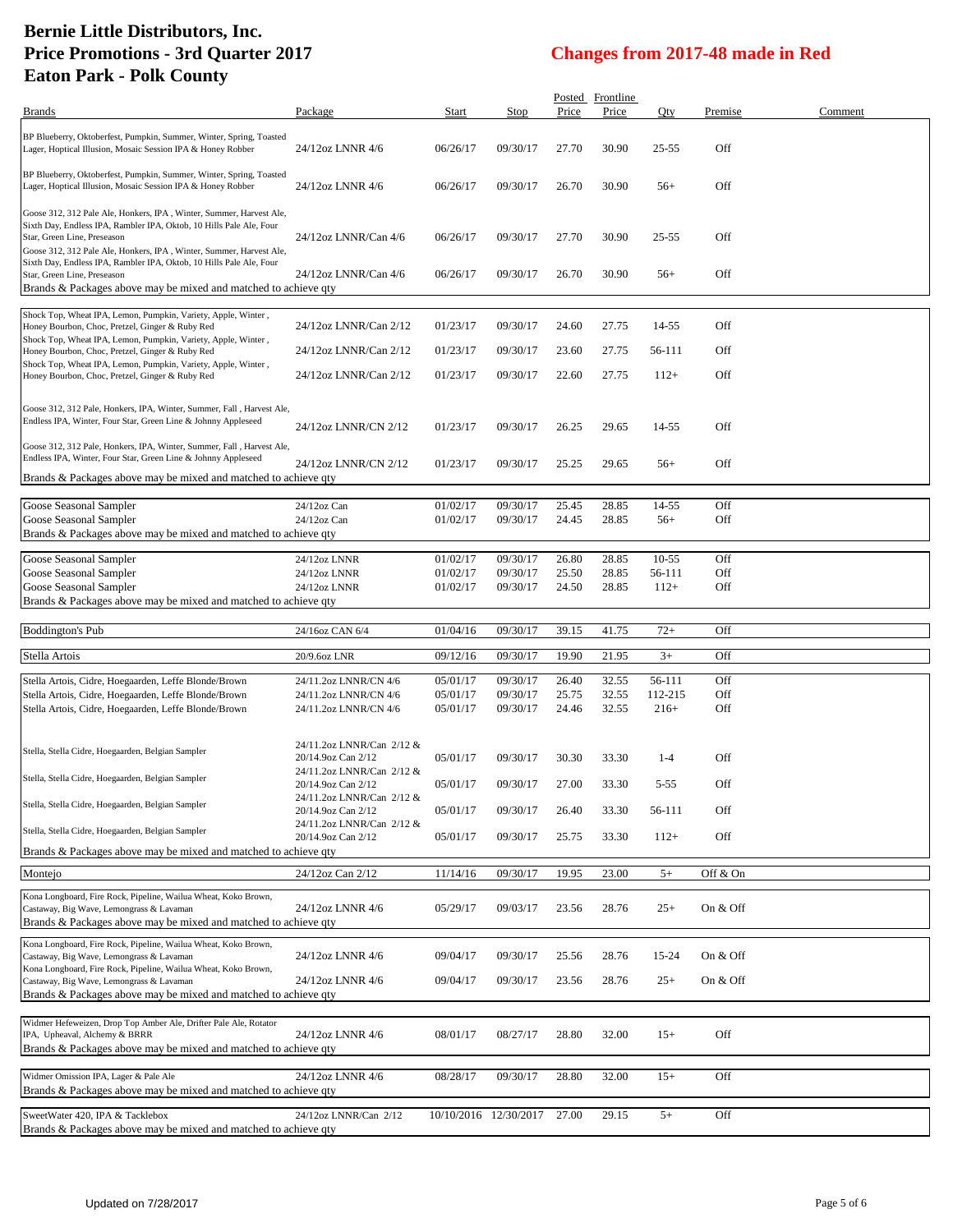| <b>Brands</b>                                                                                                                                                                                                                                    | Package                                         | Start                | Stop                  | Price          | Posted Frontline<br>Price | Oty               | Premise    | Comment |
|--------------------------------------------------------------------------------------------------------------------------------------------------------------------------------------------------------------------------------------------------|-------------------------------------------------|----------------------|-----------------------|----------------|---------------------------|-------------------|------------|---------|
|                                                                                                                                                                                                                                                  |                                                 |                      |                       |                |                           |                   |            |         |
| BP Blueberry, Oktoberfest, Pumpkin, Summer, Winter, Spring, Toasted<br>Lager, Hoptical Illusion, Mosaic Session IPA & Honey Robber                                                                                                               | 24/12oz LNNR 4/6                                | 06/26/17             | 09/30/17              | 27.70          | 30.90                     | 25-55             | Off        |         |
| BP Blueberry, Oktoberfest, Pumpkin, Summer, Winter, Spring, Toasted<br>Lager, Hoptical Illusion, Mosaic Session IPA & Honey Robber                                                                                                               | 24/12oz LNNR 4/6                                | 06/26/17             | 09/30/17              | 26.70          | 30.90                     | $56+$             | Off        |         |
| Goose 312, 312 Pale Ale, Honkers, IPA, Winter, Summer, Harvest Ale,<br>Sixth Day, Endless IPA, Rambler IPA, Oktob, 10 Hills Pale Ale, Four<br>Star, Green Line, Preseason<br>Goose 312, 312 Pale Ale, Honkers, IPA, Winter, Summer, Harvest Ale, | 24/12oz LNNR/Can 4/6                            | 06/26/17             | 09/30/17              | 27.70          | 30.90                     | 25-55             | Off        |         |
| Sixth Day, Endless IPA, Rambler IPA, Oktob, 10 Hills Pale Ale, Four<br>Star, Green Line, Preseason<br>Brands & Packages above may be mixed and matched to achieve qty                                                                            | 24/12oz LNNR/Can 4/6                            | 06/26/17             | 09/30/17              | 26.70          | 30.90                     | $56+$             | Off        |         |
|                                                                                                                                                                                                                                                  |                                                 |                      |                       |                |                           |                   |            |         |
| Shock Top, Wheat IPA, Lemon, Pumpkin, Variety, Apple, Winter,<br>Honey Bourbon, Choc, Pretzel, Ginger & Ruby Red<br>Shock Top, Wheat IPA, Lemon, Pumpkin, Variety, Apple, Winter,                                                                | 24/12oz LNNR/Can 2/12                           | 01/23/17             | 09/30/17              | 24.60          | 27.75                     | 14-55             | Off        |         |
| Honey Bourbon, Choc, Pretzel, Ginger & Ruby Red                                                                                                                                                                                                  | 24/12oz LNNR/Can 2/12                           | 01/23/17             | 09/30/17              | 23.60          | 27.75                     | 56-111            | Off        |         |
| Shock Top, Wheat IPA, Lemon, Pumpkin, Variety, Apple, Winter,<br>Honey Bourbon, Choc, Pretzel, Ginger & Ruby Red                                                                                                                                 | 24/12oz LNNR/Can 2/12                           | 01/23/17             | 09/30/17              | 22.60          | 27.75                     | $112+$            | Off        |         |
|                                                                                                                                                                                                                                                  |                                                 |                      |                       |                |                           |                   |            |         |
| Goose 312, 312 Pale, Honkers, IPA, Winter, Summer, Fall, Harvest Ale,<br>Endless IPA, Winter, Four Star, Green Line & Johnny Appleseed                                                                                                           | 24/12oz LNNR/CN 2/12                            | 01/23/17             | 09/30/17              | 26.25          | 29.65                     | 14-55             | Off        |         |
| Goose 312, 312 Pale, Honkers, IPA, Winter, Summer, Fall, Harvest Ale,<br>Endless IPA, Winter, Four Star, Green Line & Johnny Appleseed                                                                                                           | 24/12oz LNNR/CN 2/12                            | 01/23/17             | 09/30/17              | 25.25          | 29.65                     | $56+$             | Off        |         |
| Brands & Packages above may be mixed and matched to achieve qty                                                                                                                                                                                  |                                                 |                      |                       |                |                           |                   |            |         |
|                                                                                                                                                                                                                                                  |                                                 |                      |                       |                |                           |                   |            |         |
| Goose Seasonal Sampler<br>Goose Seasonal Sampler                                                                                                                                                                                                 | 24/12oz Can<br>24/12oz Can                      | 01/02/17<br>01/02/17 | 09/30/17<br>09/30/17  | 25.45<br>24.45 | 28.85<br>28.85            | 14-55<br>$56+$    | Off<br>Off |         |
| Brands & Packages above may be mixed and matched to achieve qty                                                                                                                                                                                  |                                                 |                      |                       |                |                           |                   |            |         |
|                                                                                                                                                                                                                                                  |                                                 |                      |                       |                |                           |                   |            |         |
| Goose Seasonal Sampler<br>Goose Seasonal Sampler                                                                                                                                                                                                 | 24/12oz LNNR<br>24/12oz LNNR                    | 01/02/17<br>01/02/17 | 09/30/17<br>09/30/17  | 26.80<br>25.50 | 28.85<br>28.85            | $10-55$<br>56-111 | Off<br>Off |         |
| Goose Seasonal Sampler                                                                                                                                                                                                                           | 24/12oz LNNR                                    | 01/02/17             | 09/30/17              | 24.50          | 28.85                     | $112+$            | Off        |         |
| Brands & Packages above may be mixed and matched to achieve qty                                                                                                                                                                                  |                                                 |                      |                       |                |                           |                   |            |         |
|                                                                                                                                                                                                                                                  |                                                 |                      |                       |                |                           |                   |            |         |
| <b>Boddington's Pub</b>                                                                                                                                                                                                                          | 24/16oz CAN 6/4                                 | 01/04/16             | 09/30/17              | 39.15          | 41.75                     | $72+$             | Off        |         |
|                                                                                                                                                                                                                                                  |                                                 |                      |                       |                |                           |                   |            |         |
| Stella Artois                                                                                                                                                                                                                                    | 20/9.6oz LNR                                    | 09/12/16             | 09/30/17              | 19.90          | 21.95                     | $3+$              | Off        |         |
| Stella Artois, Cidre, Hoegaarden, Leffe Blonde/Brown                                                                                                                                                                                             | 24/11.2oz LNNR/CN 4/6                           | 05/01/17             | 09/30/17              | 26.40          | 32.55                     | 56-111            | Off        |         |
| Stella Artois, Cidre, Hoegaarden, Leffe Blonde/Brown                                                                                                                                                                                             | 24/11.2oz LNNR/CN 4/6                           | 05/01/17             | 09/30/17              | 25.75          | 32.55                     | 112-215           | Off        |         |
| Stella Artois, Cidre, Hoegaarden, Leffe Blonde/Brown                                                                                                                                                                                             | 24/11.2oz LNNR/CN 4/6                           | 05/01/17             | 09/30/17              | 24.46          | 32.55                     | $216+$            | Off        |         |
|                                                                                                                                                                                                                                                  |                                                 |                      |                       |                |                           |                   |            |         |
| Stella, Stella Cidre, Hoegaarden, Belgian Sampler                                                                                                                                                                                                | 24/11.2oz LNNR/Can 2/12 &<br>20/14.9oz Can 2/12 | 05/01/17             | 09/30/17              | 30.30          | 33.30                     | $1-4$             | Off        |         |
| Stella, Stella Cidre, Hoegaarden, Belgian Sampler                                                                                                                                                                                                | 24/11.2oz LNNR/Can 2/12 &<br>20/14.9oz Can 2/12 |                      | 09/30/17              |                |                           |                   |            |         |
| Stella, Stella Cidre, Hoegaarden, Belgian Sampler                                                                                                                                                                                                | 24/11.2oz LNNR/Can 2/12 &                       | 05/01/17             |                       | 27.00          | 33.30                     | $5 - 55$          | Off        |         |
|                                                                                                                                                                                                                                                  | 20/14.9oz Can 2/12<br>24/11.2oz LNNR/Can 2/12 & | 05/01/17             | 09/30/17              | 26.40          | 33.30                     | 56-111            | Off        |         |
| Stella, Stella Cidre, Hoegaarden, Belgian Sampler<br>Brands & Packages above may be mixed and matched to achieve qty                                                                                                                             | 20/14.9oz Can 2/12                              | 05/01/17             | 09/30/17              | 25.75          | 33.30                     | $112+$            | Off        |         |
|                                                                                                                                                                                                                                                  |                                                 |                      |                       |                |                           |                   |            |         |
| Montejo                                                                                                                                                                                                                                          | 24/12oz Can 2/12                                | 11/14/16             | 09/30/17              | 19.95          | 23.00                     | $5+$              | Off & On   |         |
| Kona Longboard, Fire Rock, Pipeline, Wailua Wheat, Koko Brown,<br>Castaway, Big Wave, Lemongrass & Lavaman<br>Brands & Packages above may be mixed and matched to achieve qty                                                                    | 24/12oz LNNR 4/6                                | 05/29/17             | 09/03/17              | 23.56          | 28.76                     | $25+$             | On & Off   |         |
| Kona Longboard, Fire Rock, Pipeline, Wailua Wheat, Koko Brown,                                                                                                                                                                                   |                                                 |                      |                       |                |                           |                   |            |         |
| Castaway, Big Wave, Lemongrass & Lavaman                                                                                                                                                                                                         | 24/12oz LNNR 4/6                                | 09/04/17             | 09/30/17              | 25.56          | 28.76                     | 15-24             | On & Off   |         |
| Kona Longboard, Fire Rock, Pipeline, Wailua Wheat, Koko Brown,                                                                                                                                                                                   |                                                 |                      |                       |                |                           |                   |            |         |
| Castaway, Big Wave, Lemongrass & Lavaman<br>Brands & Packages above may be mixed and matched to achieve qty                                                                                                                                      | 24/12oz LNNR 4/6                                | 09/04/17             | 09/30/17              | 23.56          | 28.76                     | $25+$             | On & Off   |         |
|                                                                                                                                                                                                                                                  |                                                 |                      |                       |                |                           |                   |            |         |
| Widmer Hefeweizen, Drop Top Amber Ale, Drifter Pale Ale, Rotator                                                                                                                                                                                 |                                                 |                      |                       |                |                           |                   |            |         |
| IPA, Upheaval, Alchemy & BRRR<br>Brands & Packages above may be mixed and matched to achieve qty                                                                                                                                                 | 24/12oz LNNR 4/6                                | 08/01/17             | 08/27/17              | 28.80          | 32.00                     | $15+$             | Off        |         |
|                                                                                                                                                                                                                                                  |                                                 |                      |                       |                |                           |                   |            |         |
| Widmer Omission IPA, Lager & Pale Ale<br>Brands & Packages above may be mixed and matched to achieve qty                                                                                                                                         | 24/12oz LNNR 4/6                                | 08/28/17             | 09/30/17              | 28.80          | 32.00                     | $15+$             | Off        |         |
| SweetWater 420, IPA & Tacklebox<br>Brands & Packages above may be mixed and matched to achieve qty                                                                                                                                               | 24/12oz LNNR/Can 2/12                           |                      | 10/10/2016 12/30/2017 | 27.00          | 29.15                     | $5+$              | Off        |         |